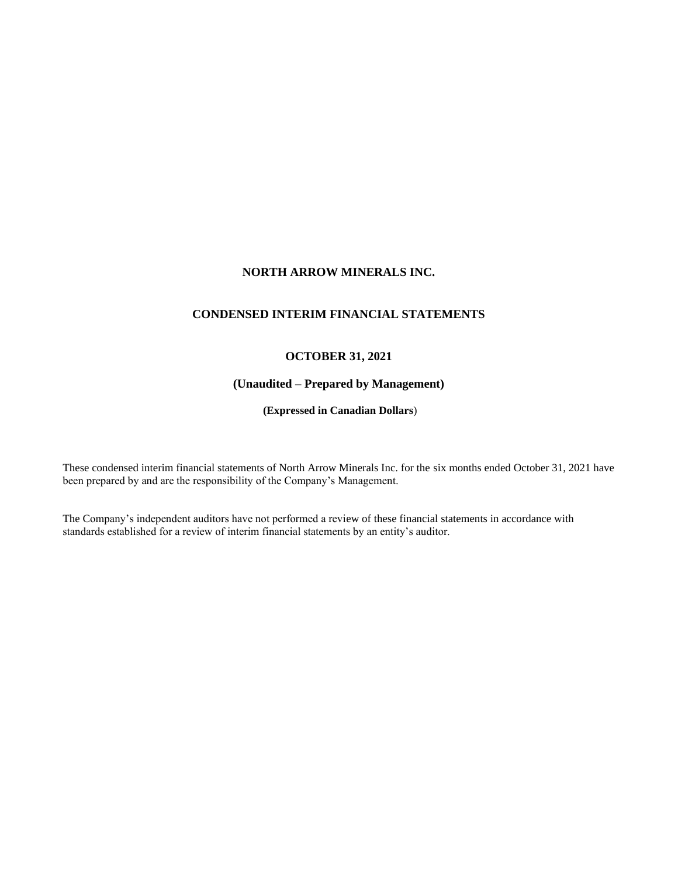## **NORTH ARROW MINERALS INC.**

## **CONDENSED INTERIM FINANCIAL STATEMENTS**

## **OCTOBER 31, 2021**

# **(Unaudited – Prepared by Management)**

**(Expressed in Canadian Dollars**)

These condensed interim financial statements of North Arrow Minerals Inc. for the six months ended October 31, 2021 have been prepared by and are the responsibility of the Company's Management.

The Company's independent auditors have not performed a review of these financial statements in accordance with standards established for a review of interim financial statements by an entity's auditor.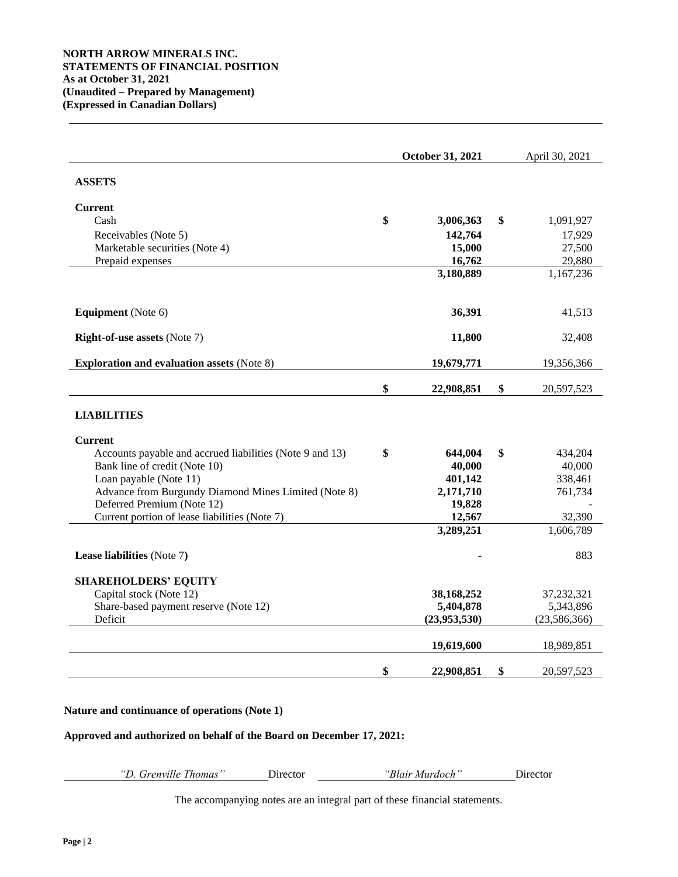|                                                                             | October 31, 2021 |                  |    | April 30, 2021 |
|-----------------------------------------------------------------------------|------------------|------------------|----|----------------|
| <b>ASSETS</b>                                                               |                  |                  |    |                |
| <b>Current</b>                                                              |                  |                  |    |                |
| Cash                                                                        | \$               | 3,006,363        | \$ | 1,091,927      |
| Receivables (Note 5)                                                        |                  | 142,764          |    | 17,929         |
| Marketable securities (Note 4)                                              |                  | 15,000           |    | 27,500         |
| Prepaid expenses                                                            |                  | 16,762           |    | 29,880         |
|                                                                             |                  | 3,180,889        |    | 1,167,236      |
| <b>Equipment</b> (Note 6)                                                   |                  | 36,391           |    | 41,513         |
| <b>Right-of-use assets (Note 7)</b>                                         |                  | 11,800           |    | 32,408         |
| <b>Exploration and evaluation assets (Note 8)</b>                           |                  | 19,679,771       |    | 19,356,366     |
|                                                                             | \$               | 22,908,851       | \$ | 20,597,523     |
| <b>LIABILITIES</b>                                                          |                  |                  |    |                |
| <b>Current</b>                                                              |                  |                  |    |                |
| Accounts payable and accrued liabilities (Note 9 and 13)                    | \$               | 644,004          | \$ | 434,204        |
| Bank line of credit (Note 10)                                               |                  | 40,000           |    | 40,000         |
| Loan payable (Note 11)                                                      |                  | 401,142          |    | 338,461        |
| Advance from Burgundy Diamond Mines Limited (Note 8)                        |                  | 2,171,710        |    | 761,734        |
| Deferred Premium (Note 12)<br>Current portion of lease liabilities (Note 7) |                  | 19,828<br>12,567 |    | 32,390         |
|                                                                             |                  | 3,289,251        |    | 1,606,789      |
| Lease liabilities (Note 7)                                                  |                  |                  |    | 883            |
| <b>SHAREHOLDERS' EQUITY</b>                                                 |                  |                  |    |                |
| Capital stock (Note 12)                                                     |                  | 38,168,252       |    | 37,232,321     |
| Share-based payment reserve (Note 12)                                       |                  | 5,404,878        |    | 5,343,896      |
| Deficit                                                                     |                  | (23,953,530)     |    | (23, 586, 366) |
|                                                                             |                  | 19,619,600       |    | 18,989,851     |
|                                                                             | \$               | 22,908,851       | \$ | 20,597,523     |

## **Nature and continuance of operations (Note 1)**

## **Approved and authorized on behalf of the Board on December 17, 2021:**

*"D. Grenville Thomas"* Director *"Blair Murdoch"* Director

The accompanying notes are an integral part of these financial statements.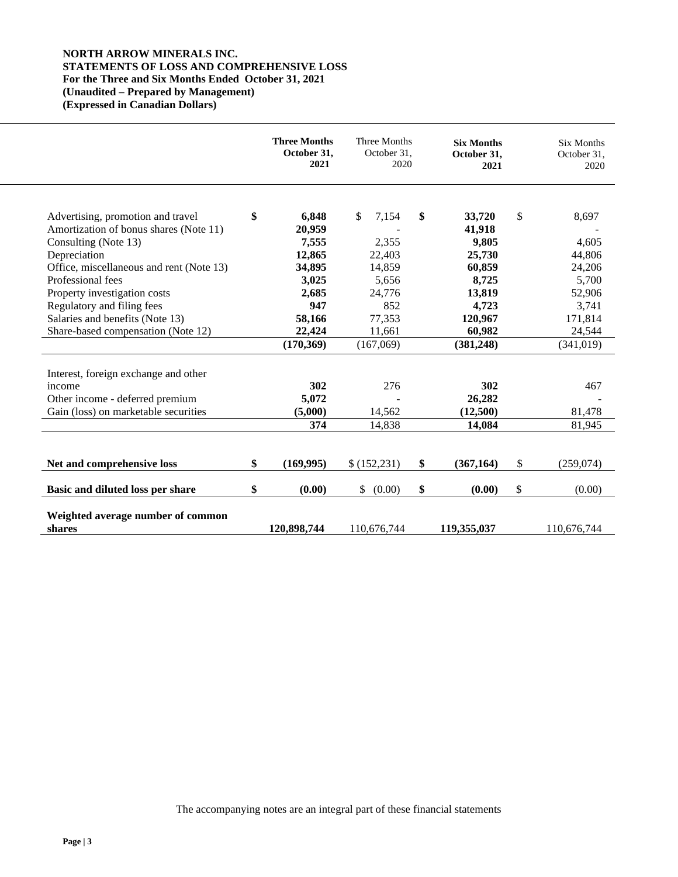## **NORTH ARROW MINERALS INC. STATEMENTS OF LOSS AND COMPREHENSIVE LOSS For the Three and Six Months Ended October 31, 2021 (Unaudited – Prepared by Management) (Expressed in Canadian Dollars)**

|                                                               | <b>Three Months</b><br>October 31,<br>2021 | Three Months<br>October 31, | 2020 | <b>Six Months</b><br>October 31,<br>2021 | <b>Six Months</b><br>October 31,<br>2020 |
|---------------------------------------------------------------|--------------------------------------------|-----------------------------|------|------------------------------------------|------------------------------------------|
| Advertising, promotion and travel                             | \$<br>6.848                                | \$<br>7,154                 | \$   | 33,720                                   | \$<br>8,697                              |
| Amortization of bonus shares (Note 11)                        | 20,959                                     |                             |      | 41,918                                   |                                          |
| Consulting (Note 13)                                          | 7,555                                      | 2,355                       |      | 9,805                                    | 4,605                                    |
| Depreciation                                                  | 12,865                                     | 22,403                      |      | 25,730                                   | 44,806                                   |
| Office, miscellaneous and rent (Note 13)                      | 34,895                                     | 14,859                      |      | 60,859                                   | 24,206                                   |
| Professional fees                                             | 3,025                                      | 5,656                       |      | 8,725                                    | 5,700                                    |
| Property investigation costs                                  | 2,685<br>947                               | 24,776<br>852               |      | 13,819                                   | 52,906                                   |
| Regulatory and filing fees<br>Salaries and benefits (Note 13) |                                            | 77,353                      |      | 4,723                                    | 3,741                                    |
| Share-based compensation (Note 12)                            | 58,166<br>22,424                           |                             |      | 120,967<br>60,982                        | 171,814                                  |
|                                                               | (170, 369)                                 | 11,661<br>(167,069)         |      | (381, 248)                               | 24,544<br>(341, 019)                     |
|                                                               |                                            |                             |      |                                          |                                          |
| Interest, foreign exchange and other                          |                                            |                             |      |                                          |                                          |
| income                                                        | 302                                        | 276                         |      | 302                                      | 467                                      |
| Other income - deferred premium                               | 5,072                                      |                             |      | 26,282                                   |                                          |
| Gain (loss) on marketable securities                          | (5,000)                                    | 14,562                      |      | (12,500)                                 | 81,478                                   |
|                                                               | 374                                        | 14,838                      |      | 14,084                                   | 81,945                                   |
| Net and comprehensive loss                                    | \$<br>(169,995)                            | \$(152,231)                 | \$   | (367, 164)                               | \$<br>(259,074)                          |
| Basic and diluted loss per share                              | \$<br>(0.00)                               | $\mathbb{S}$<br>(0.00)      | \$   | (0.00)                                   | \$<br>(0.00)                             |
| Weighted average number of common<br>shares                   | 120,898,744                                | 110,676,744                 |      | 119,355,037                              | 110,676,744                              |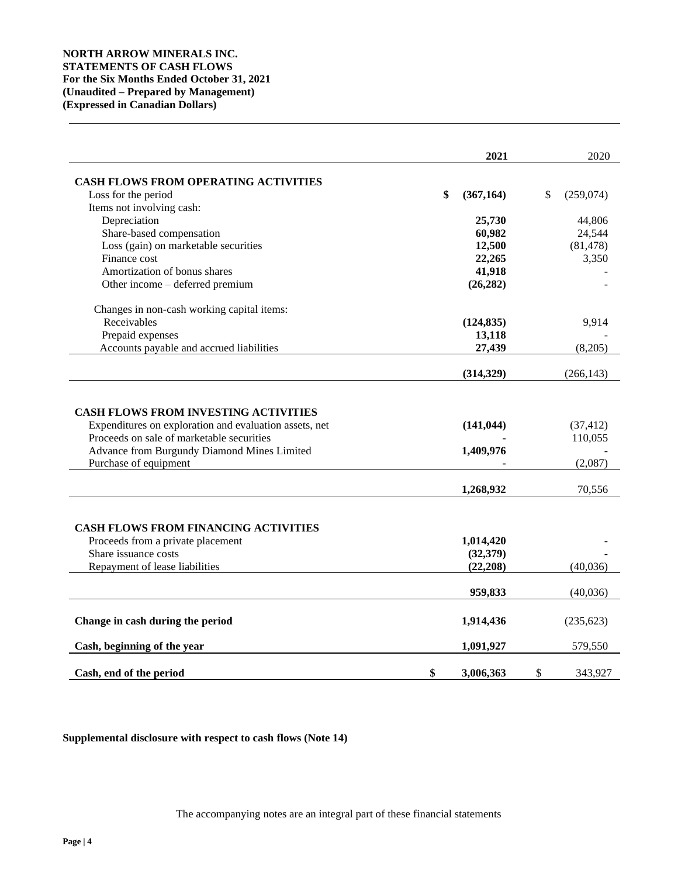|                                                                                                                                            | 2021                                | 2020                         |
|--------------------------------------------------------------------------------------------------------------------------------------------|-------------------------------------|------------------------------|
| <b>CASH FLOWS FROM OPERATING ACTIVITIES</b>                                                                                                |                                     |                              |
| Loss for the period                                                                                                                        | \$<br>(367, 164)                    | \$<br>(259,074)              |
| Items not involving cash:                                                                                                                  |                                     |                              |
| Depreciation                                                                                                                               | 25,730                              | 44,806                       |
| Share-based compensation                                                                                                                   | 60,982                              | 24,544                       |
| Loss (gain) on marketable securities                                                                                                       | 12,500                              | (81, 478)                    |
| Finance cost                                                                                                                               | 22,265                              | 3,350                        |
| Amortization of bonus shares                                                                                                               | 41,918                              |                              |
| Other income - deferred premium                                                                                                            | (26, 282)                           |                              |
| Changes in non-cash working capital items:                                                                                                 |                                     |                              |
| Receivables                                                                                                                                | (124, 835)                          | 9,914                        |
| Prepaid expenses                                                                                                                           | 13,118                              |                              |
| Accounts payable and accrued liabilities                                                                                                   | 27,439                              | (8,205)                      |
|                                                                                                                                            | (314, 329)                          | (266, 143)                   |
| Proceeds on sale of marketable securities<br>Advance from Burgundy Diamond Mines Limited<br>Purchase of equipment                          | 1,409,976<br>1,268,932              | 110,055<br>(2,087)<br>70,556 |
| <b>CASH FLOWS FROM FINANCING ACTIVITIES</b><br>Proceeds from a private placement<br>Share issuance costs<br>Repayment of lease liabilities | 1,014,420<br>(32, 379)<br>(22, 208) | (40,036)                     |
|                                                                                                                                            | 959,833                             | (40,036)                     |
| Change in cash during the period                                                                                                           | 1,914,436                           | (235, 623)                   |
| Cash, beginning of the year                                                                                                                | 1,091,927                           | 579,550                      |
| Cash, end of the period                                                                                                                    | \$<br>3,006,363                     | \$<br>343,927                |

## **Supplemental disclosure with respect to cash flows (Note 14)**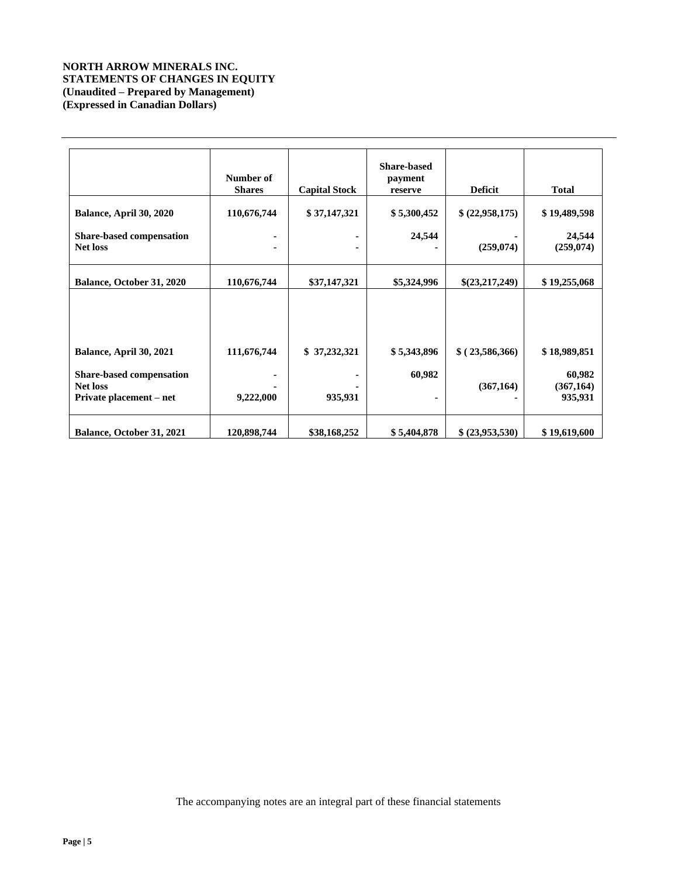## **NORTH ARROW MINERALS INC. STATEMENTS OF CHANGES IN EQUITY (Unaudited – Prepared by Management) (Expressed in Canadian Dollars)**

|                                                                               | Number of<br><b>Shares</b> | <b>Capital Stock</b> | Share-based<br>payment<br>reserve | <b>Deficit</b>  | <b>Total</b>                    |
|-------------------------------------------------------------------------------|----------------------------|----------------------|-----------------------------------|-----------------|---------------------------------|
| Balance, April 30, 2020                                                       | 110,676,744                | \$37,147,321         | \$5,300,452                       | \$ (22,958,175) | \$19,489,598                    |
| <b>Share-based compensation</b><br><b>Net loss</b>                            |                            | ٠<br>٠               | 24,544                            | (259, 074)      | 24,544<br>(259,074)             |
| Balance, October 31, 2020                                                     | 110,676,744                | \$37,147,321         | \$5,324,996                       | \$(23,217,249)  | \$19,255,068                    |
| Balance, April 30, 2021                                                       | 111,676,744                | \$37,232,321         | \$5,343,896                       | \$(23,586,366)  | \$18,989,851                    |
| <b>Share-based compensation</b><br><b>Net loss</b><br>Private placement – net | 9,222,000                  | 935,931              | 60,982                            | (367, 164)      | 60,982<br>(367, 164)<br>935,931 |
| Balance, October 31, 2021                                                     | 120,898,744                | \$38,168,252         | \$5,404,878                       | \$ (23,953,530) | \$19,619,600                    |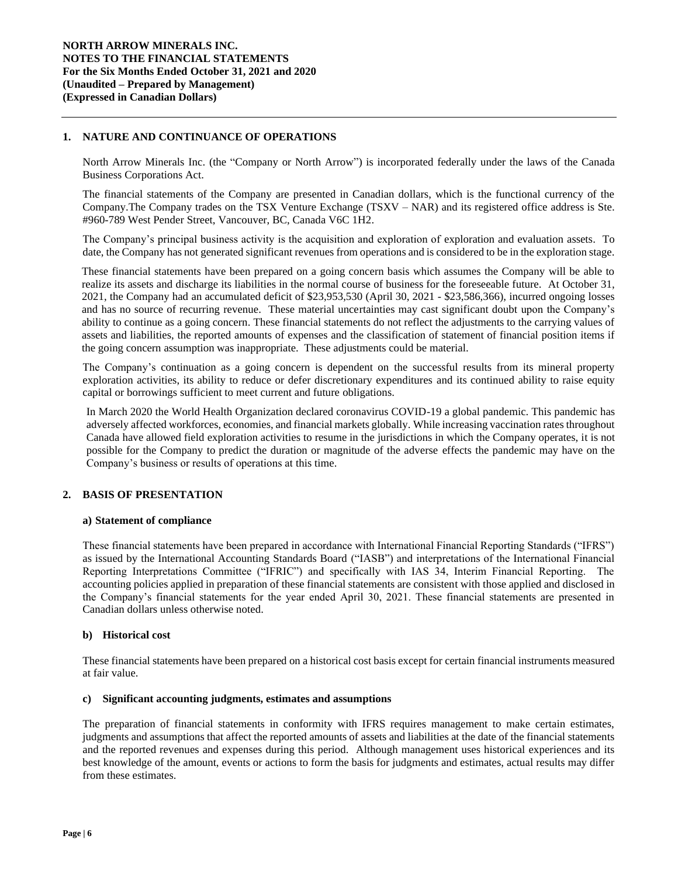## **1. NATURE AND CONTINUANCE OF OPERATIONS**

North Arrow Minerals Inc. (the "Company or North Arrow") is incorporated federally under the laws of the Canada Business Corporations Act.

The financial statements of the Company are presented in Canadian dollars, which is the functional currency of the Company.The Company trades on the TSX Venture Exchange (TSXV – NAR) and its registered office address is Ste. #960-789 West Pender Street, Vancouver, BC, Canada V6C 1H2.

The Company's principal business activity is the acquisition and exploration of exploration and evaluation assets. To date, the Company has not generated significant revenues from operations and is considered to be in the exploration stage.

These financial statements have been prepared on a going concern basis which assumes the Company will be able to realize its assets and discharge its liabilities in the normal course of business for the foreseeable future. At October 31, 2021, the Company had an accumulated deficit of \$23,953,530 (April 30, 2021 - \$23,586,366), incurred ongoing losses and has no source of recurring revenue. These material uncertainties may cast significant doubt upon the Company's ability to continue as a going concern. These financial statements do not reflect the adjustments to the carrying values of assets and liabilities, the reported amounts of expenses and the classification of statement of financial position items if the going concern assumption was inappropriate. These adjustments could be material.

The Company's continuation as a going concern is dependent on the successful results from its mineral property exploration activities, its ability to reduce or defer discretionary expenditures and its continued ability to raise equity capital or borrowings sufficient to meet current and future obligations.

In March 2020 the World Health Organization declared coronavirus COVID-19 a global pandemic. This pandemic has adversely affected workforces, economies, and financial markets globally. While increasing vaccination rates throughout Canada have allowed field exploration activities to resume in the jurisdictions in which the Company operates, it is not possible for the Company to predict the duration or magnitude of the adverse effects the pandemic may have on the Company's business or results of operations at this time.

### **2. BASIS OF PRESENTATION**

### **a) Statement of compliance**

These financial statements have been prepared in accordance with International Financial Reporting Standards ("IFRS") as issued by the International Accounting Standards Board ("IASB") and interpretations of the International Financial Reporting Interpretations Committee ("IFRIC") and specifically with IAS 34, Interim Financial Reporting. The accounting policies applied in preparation of these financial statements are consistent with those applied and disclosed in the Company's financial statements for the year ended April 30, 2021. These financial statements are presented in Canadian dollars unless otherwise noted.

### **b) Historical cost**

These financial statements have been prepared on a historical cost basis except for certain financial instruments measured at fair value.

#### **c) Significant accounting judgments, estimates and assumptions**

The preparation of financial statements in conformity with IFRS requires management to make certain estimates, judgments and assumptions that affect the reported amounts of assets and liabilities at the date of the financial statements and the reported revenues and expenses during this period. Although management uses historical experiences and its best knowledge of the amount, events or actions to form the basis for judgments and estimates, actual results may differ from these estimates.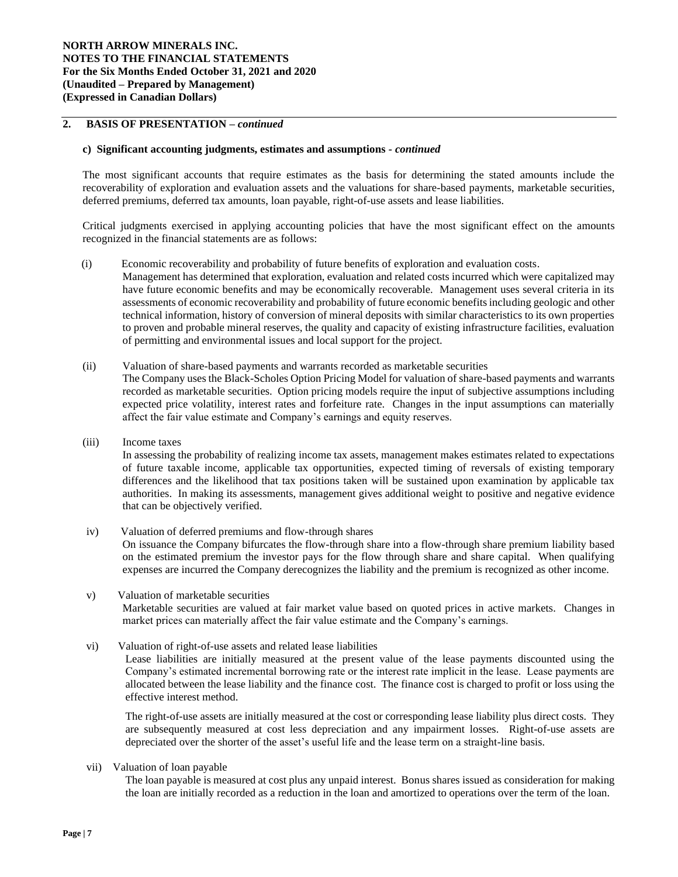## **2. BASIS OF PRESENTATION –** *continued*

#### **c) Significant accounting judgments, estimates and assumptions** *- continued*

The most significant accounts that require estimates as the basis for determining the stated amounts include the recoverability of exploration and evaluation assets and the valuations for share-based payments, marketable securities, deferred premiums, deferred tax amounts, loan payable, right-of-use assets and lease liabilities.

Critical judgments exercised in applying accounting policies that have the most significant effect on the amounts recognized in the financial statements are as follows:

(i) Economic recoverability and probability of future benefits of exploration and evaluation costs*.* 

Management has determined that exploration, evaluation and related costs incurred which were capitalized may have future economic benefits and may be economically recoverable. Management uses several criteria in its assessments of economic recoverability and probability of future economic benefits including geologic and other technical information, history of conversion of mineral deposits with similar characteristics to its own properties to proven and probable mineral reserves, the quality and capacity of existing infrastructure facilities, evaluation of permitting and environmental issues and local support for the project.

(ii) Valuation of share-based payments and warrants recorded as marketable securities

The Company uses the Black-Scholes Option Pricing Model for valuation of share-based payments and warrants recorded as marketable securities. Option pricing models require the input of subjective assumptions including expected price volatility, interest rates and forfeiture rate. Changes in the input assumptions can materially affect the fair value estimate and Company's earnings and equity reserves.

(iii) Income taxes

In assessing the probability of realizing income tax assets, management makes estimates related to expectations of future taxable income, applicable tax opportunities, expected timing of reversals of existing temporary differences and the likelihood that tax positions taken will be sustained upon examination by applicable tax authorities. In making its assessments, management gives additional weight to positive and negative evidence that can be objectively verified.

iv) Valuation of deferred premiums and flow-through shares On issuance the Company bifurcates the flow-through share into a flow-through share premium liability based on the estimated premium the investor pays for the flow through share and share capital. When qualifying expenses are incurred the Company derecognizes the liability and the premium is recognized as other income.

- v) Valuation of marketable securities Marketable securities are valued at fair market value based on quoted prices in active markets. Changes in market prices can materially affect the fair value estimate and the Company's earnings.
- vi) Valuation of right-of-use assets and related lease liabilities

Lease liabilities are initially measured at the present value of the lease payments discounted using the Company's estimated incremental borrowing rate or the interest rate implicit in the lease. Lease payments are allocated between the lease liability and the finance cost. The finance cost is charged to profit or loss using the effective interest method.

The right-of-use assets are initially measured at the cost or corresponding lease liability plus direct costs. They are subsequently measured at cost less depreciation and any impairment losses. Right-of-use assets are depreciated over the shorter of the asset's useful life and the lease term on a straight-line basis.

vii) Valuation of loan payable

The loan payable is measured at cost plus any unpaid interest. Bonus shares issued as consideration for making the loan are initially recorded as a reduction in the loan and amortized to operations over the term of the loan.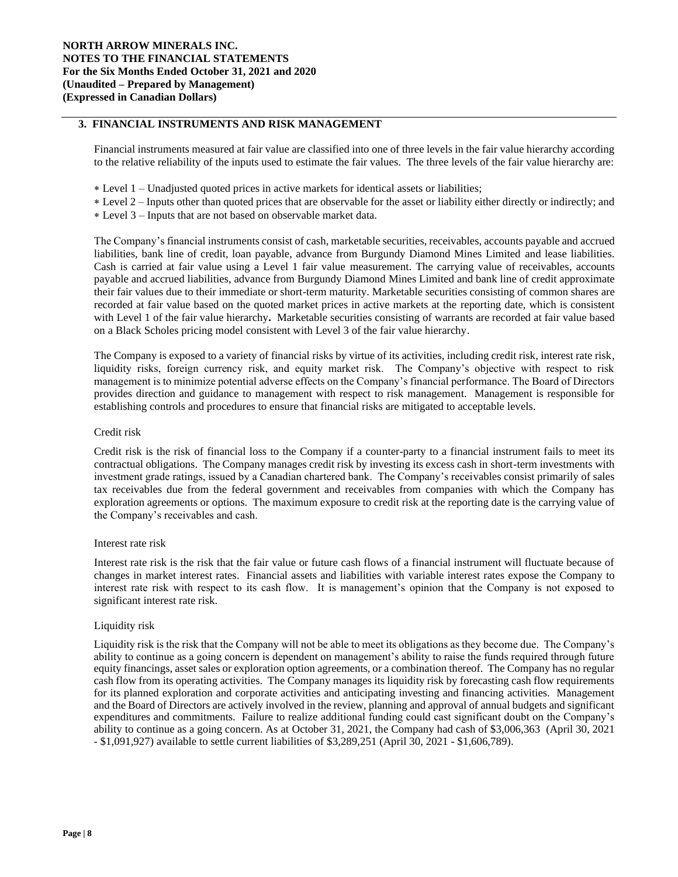## **3. FINANCIAL INSTRUMENTS AND RISK MANAGEMENT**

Financial instruments measured at fair value are classified into one of three levels in the fair value hierarchy according to the relative reliability of the inputs used to estimate the fair values. The three levels of the fair value hierarchy are:

- Level 1 Unadjusted quoted prices in active markets for identical assets or liabilities;
- Level 2 Inputs other than quoted prices that are observable for the asset or liability either directly or indirectly; and
- Level 3 Inputs that are not based on observable market data.

The Company's financial instruments consist of cash, marketable securities, receivables, accounts payable and accrued liabilities, bank line of credit, loan payable, advance from Burgundy Diamond Mines Limited and lease liabilities. Cash is carried at fair value using a Level 1 fair value measurement. The carrying value of receivables, accounts payable and accrued liabilities, advance from Burgundy Diamond Mines Limited and bank line of credit approximate their fair values due to their immediate or short-term maturity. Marketable securities consisting of common shares are recorded at fair value based on the quoted market prices in active markets at the reporting date, which is consistent with Level 1 of the fair value hierarchy**.** Marketable securities consisting of warrants are recorded at fair value based on a Black Scholes pricing model consistent with Level 3 of the fair value hierarchy.

The Company is exposed to a variety of financial risks by virtue of its activities, including credit risk, interest rate risk, liquidity risks, foreign currency risk, and equity market risk. The Company's objective with respect to risk management is to minimize potential adverse effects on the Company's financial performance. The Board of Directors provides direction and guidance to management with respect to risk management. Management is responsible for establishing controls and procedures to ensure that financial risks are mitigated to acceptable levels.

### Credit risk

Credit risk is the risk of financial loss to the Company if a counter-party to a financial instrument fails to meet its contractual obligations. The Company manages credit risk by investing its excess cash in short-term investments with investment grade ratings, issued by a Canadian chartered bank. The Company's receivables consist primarily of sales tax receivables due from the federal government and receivables from companies with which the Company has exploration agreements or options. The maximum exposure to credit risk at the reporting date is the carrying value of the Company's receivables and cash.

### Interest rate risk

Interest rate risk is the risk that the fair value or future cash flows of a financial instrument will fluctuate because of changes in market interest rates. Financial assets and liabilities with variable interest rates expose the Company to interest rate risk with respect to its cash flow. It is management's opinion that the Company is not exposed to significant interest rate risk.

### Liquidity risk

Liquidity risk is the risk that the Company will not be able to meet its obligations as they become due. The Company's ability to continue as a going concern is dependent on management's ability to raise the funds required through future equity financings, asset sales or exploration option agreements, or a combination thereof. The Company has no regular cash flow from its operating activities. The Company manages its liquidity risk by forecasting cash flow requirements for its planned exploration and corporate activities and anticipating investing and financing activities. Management and the Board of Directors are actively involved in the review, planning and approval of annual budgets and significant expenditures and commitments. Failure to realize additional funding could cast significant doubt on the Company's ability to continue as a going concern. As at October 31, 2021, the Company had cash of \$3,006,363 (April 30, 2021 - \$1,091,927) available to settle current liabilities of \$3,289,251 (April 30, 2021 - \$1,606,789).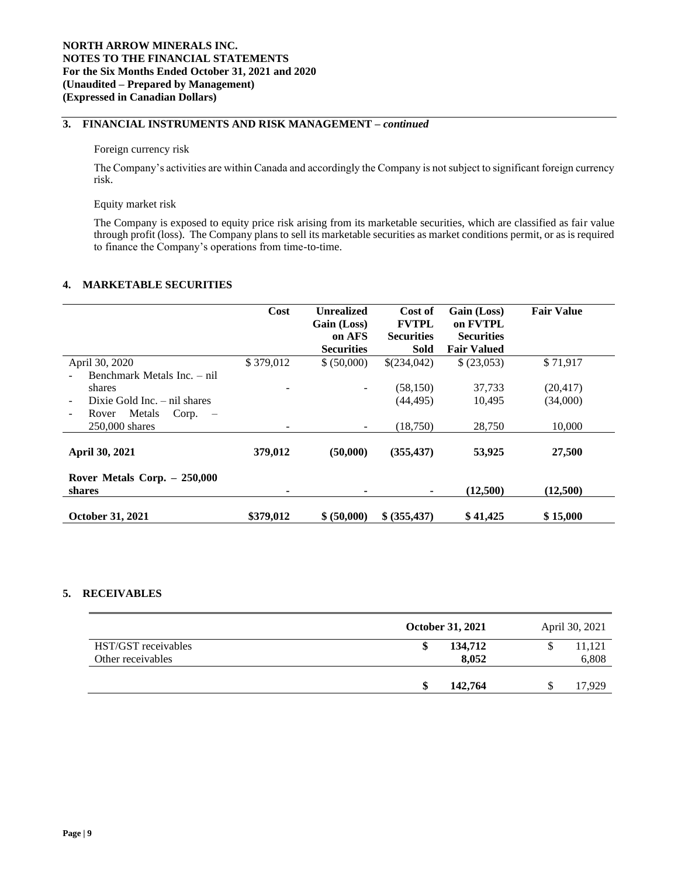## **3. FINANCIAL INSTRUMENTS AND RISK MANAGEMENT –** *continued*

#### Foreign currency risk

The Company's activities are within Canada and accordingly the Company is not subject to significant foreign currency risk.

#### Equity market risk

The Company is exposed to equity price risk arising from its marketable securities, which are classified as fair value through profit (loss). The Company plans to sell its marketable securities as market conditions permit, or as is required to finance the Company's operations from time-to-time.

### **4. MARKETABLE SECURITIES**

|                                    | Cost      | <b>Unrealized</b> | Cost of           | Gain (Loss)        | <b>Fair Value</b> |
|------------------------------------|-----------|-------------------|-------------------|--------------------|-------------------|
|                                    |           | Gain (Loss)       | <b>FVTPL</b>      | on FVTPL           |                   |
|                                    |           | on AFS            | <b>Securities</b> | <b>Securities</b>  |                   |
|                                    |           | <b>Securities</b> | <b>Sold</b>       | <b>Fair Valued</b> |                   |
| April 30, 2020                     | \$379,012 | \$ (50,000)       | \$(234,042)       | \$ (23,053)        | \$71,917          |
| Benchmark Metals Inc. - nil        |           |                   |                   |                    |                   |
| shares                             |           |                   | (58, 150)         | 37,733             | (20, 417)         |
| Dixie Gold Inc. $-$ nil shares     |           |                   | (44.495)          | 10,495             | (34,000)          |
| Metals<br>Corp.<br>Rover<br>$\sim$ |           |                   |                   |                    |                   |
| $250,000$ shares                   |           |                   | (18,750)          | 28,750             | 10,000            |
| April 30, 2021                     | 379,012   | (50,000)          | (355, 437)        | 53,925             | 27,500            |
| Rover Metals Corp. $-250,000$      |           |                   |                   |                    |                   |
| shares                             |           |                   |                   | (12,500)           | (12,500)          |
| <b>October 31, 2021</b>            | \$379,012 | \$ (50,000)       | \$ (355, 437)     | \$41,425           | \$15,000          |

## **5. RECEIVABLES**

|                                          | October 31, 2021 | April 30, 2021  |
|------------------------------------------|------------------|-----------------|
| HST/GST receivables<br>Other receivables | 134,712<br>8,052 | 11,121<br>6,808 |
|                                          | 142,764          | 17.929          |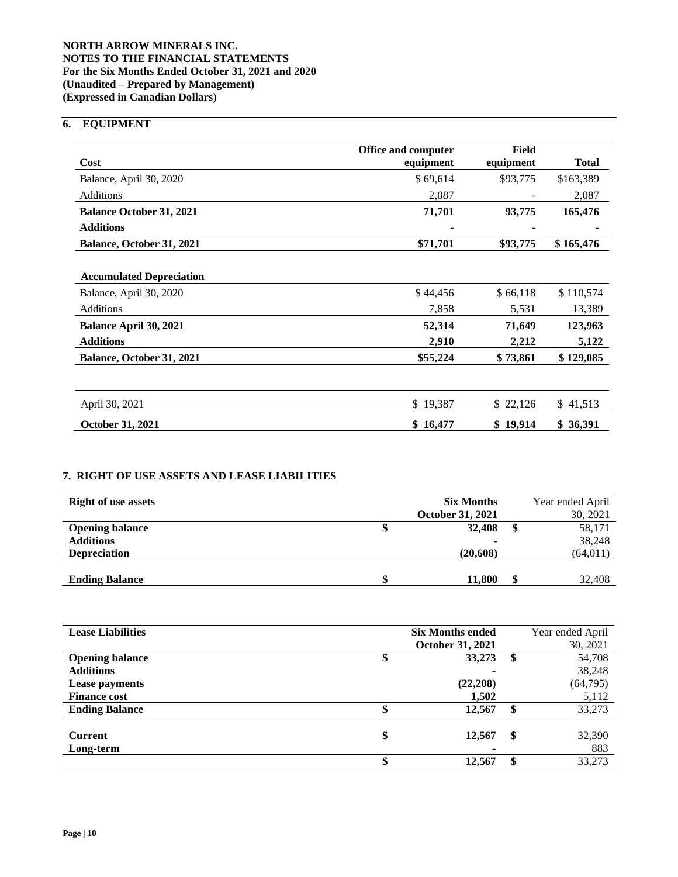## **NORTH ARROW MINERALS INC. NOTES TO THE FINANCIAL STATEMENTS For the Six Months Ended October 31, 2021 and 2020 (Unaudited – Prepared by Management) (Expressed in Canadian Dollars)**

# **6. EQUIPMENT**

|                                 | <b>Office and computer</b> | Field     |              |
|---------------------------------|----------------------------|-----------|--------------|
| Cost                            | equipment                  | equipment | <b>Total</b> |
| Balance, April 30, 2020         | \$69,614                   | \$93,775  | \$163,389    |
| Additions                       | 2,087                      |           | 2,087        |
| <b>Balance October 31, 2021</b> | 71,701                     | 93,775    | 165,476      |
| <b>Additions</b>                |                            |           |              |
| Balance, October 31, 2021       | \$71,701                   | \$93,775  | \$165,476    |
|                                 |                            |           |              |
| <b>Accumulated Depreciation</b> |                            |           |              |
| Balance, April 30, 2020         | \$44,456                   | \$66,118  | \$110,574    |
| Additions                       | 7,858                      | 5,531     | 13,389       |
| Balance April 30, 2021          | 52,314                     | 71,649    | 123,963      |
| <b>Additions</b>                | 2,910                      | 2,212     | 5,122        |
| Balance, October 31, 2021       | \$55,224                   | \$73,861  | \$129,085    |
|                                 |                            |           |              |
| April 30, 2021                  | \$19,387                   | \$22,126  | \$41,513     |
| October 31, 2021                | \$16,477                   | \$19,914  | \$ 36,391    |

# **7. RIGHT OF USE ASSETS AND LEASE LIABILITIES**

| <b>Right of use assets</b> | <b>Six Months</b>       | Year ended April |
|----------------------------|-------------------------|------------------|
|                            | <b>October 31, 2021</b> | 30, 2021         |
| <b>Opening balance</b>     | 32,408                  | 58,171           |
| <b>Additions</b>           | $\blacksquare$          | 38,248           |
| <b>Depreciation</b>        | (20,608)                | (64, 011)        |
|                            |                         |                  |
| <b>Ending Balance</b>      | 11,800                  | 32,408           |

| <b>Lease Liabilities</b> |    | <b>Six Months ended</b><br><b>October 31, 2021</b> |    | Year ended April<br>30, 2021 |
|--------------------------|----|----------------------------------------------------|----|------------------------------|
| <b>Opening balance</b>   |    | 33,273                                             | \$ | 54,708                       |
| <b>Additions</b>         |    |                                                    |    | 38,248                       |
| Lease payments           |    | (22, 208)                                          |    | (64, 795)                    |
| <b>Finance cost</b>      |    | 1,502                                              |    | 5,112                        |
| <b>Ending Balance</b>    |    | 12,567                                             |    | 33,273                       |
|                          |    |                                                    |    |                              |
| <b>Current</b>           | \$ | 12,567                                             | \$ | 32,390                       |
| Long-term                |    |                                                    |    | 883                          |
|                          | Φ  | 12,567                                             | ¢  | 33,273                       |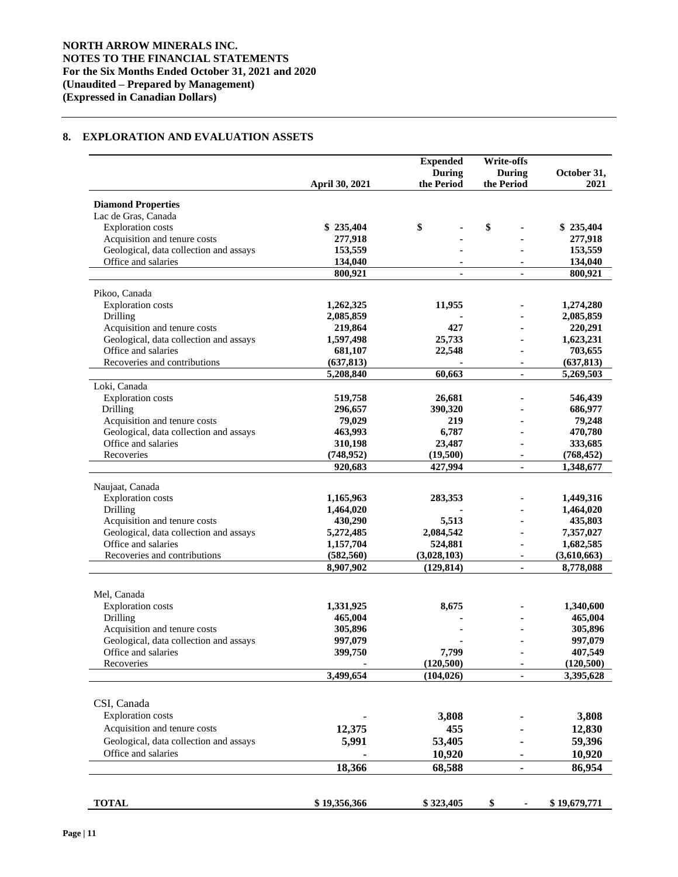## **8. EXPLORATION AND EVALUATION ASSETS**

|                                        |                | <b>Expended</b>          | <b>Write-offs</b> |                         |
|----------------------------------------|----------------|--------------------------|-------------------|-------------------------|
|                                        |                | During                   | <b>During</b>     | October 31,             |
|                                        | April 30, 2021 | the Period               | the Period        | 2021                    |
| <b>Diamond Properties</b>              |                |                          |                   |                         |
| Lac de Gras, Canada                    |                |                          |                   |                         |
| <b>Exploration</b> costs               | \$235,404      | \$                       | \$                | \$235,404               |
| Acquisition and tenure costs           | 277,918        |                          |                   | 277,918                 |
| Geological, data collection and assays | 153,559        |                          |                   | 153,559                 |
| Office and salaries                    | 134,040        |                          |                   | 134,040                 |
|                                        | 800,921        | ٠                        | $\blacksquare$    | 800,921                 |
| Pikoo, Canada                          |                |                          |                   |                         |
| <b>Exploration</b> costs               | 1,262,325      | 11,955                   |                   | 1,274,280               |
| Drilling                               | 2,085,859      |                          |                   | 2,085,859               |
| Acquisition and tenure costs           | 219,864        | 427                      |                   | 220,291                 |
| Geological, data collection and assays | 1,597,498      | 25,733                   |                   | 1,623,231               |
| Office and salaries                    | 681,107        | 22,548                   |                   | 703,655                 |
| Recoveries and contributions           | (637, 813)     |                          |                   | (637, 813)              |
|                                        | 5,208,840      | 60,663                   | $\blacksquare$    | 5,269,503               |
| Loki, Canada                           |                |                          |                   |                         |
| <b>Exploration</b> costs               | 519,758        | 26,681                   |                   | 546,439                 |
| Drilling                               | 296,657        | 390,320                  |                   | 686,977                 |
| Acquisition and tenure costs           | 79,029         | 219                      |                   | 79,248                  |
| Geological, data collection and assays | 463,993        | 6,787                    |                   | 470,780                 |
| Office and salaries                    | 310,198        | 23,487                   |                   | 333,685                 |
| Recoveries                             | (748, 952)     | (19,500)                 |                   | (768, 452)              |
|                                        | 920,683        | 427,994                  | $\blacksquare$    | 1,348,677               |
| Naujaat, Canada                        |                |                          |                   |                         |
| <b>Exploration</b> costs               | 1,165,963      | 283,353                  |                   | 1,449,316               |
| Drilling                               | 1,464,020      |                          |                   | 1,464,020               |
| Acquisition and tenure costs           | 430,290        | 5,513                    |                   | 435,803                 |
| Geological, data collection and assays | 5,272,485      | 2,084,542                |                   | 7,357,027               |
| Office and salaries                    | 1,157,704      | 524,881                  |                   | 1,682,585               |
| Recoveries and contributions           | (582, 560)     | (3,028,103)              |                   | (3,610,663)             |
|                                        | 8,907,902      | (129, 814)               | ÷.                | 8,778,088               |
|                                        |                |                          |                   |                         |
| Mel, Canada                            |                |                          |                   |                         |
| <b>Exploration</b> costs               | 1,331,925      | 8,675                    |                   | 1,340,600               |
| Drilling                               | 465,004        |                          |                   | 465,004                 |
| Acquisition and tenure costs           | 305,896        |                          |                   | 305,896                 |
| Geological, data collection and assays | 997,079        |                          |                   | 997,079                 |
| Office and salaries                    | 399,750        | 7,799                    |                   | 407,549                 |
| Recoveries                             | 3,499,654      | (120, 500)<br>(104, 026) |                   | (120, 500)<br>3,395,628 |
|                                        |                |                          |                   |                         |
| CSI, Canada                            |                |                          |                   |                         |
| <b>Exploration</b> costs               |                | 3,808                    |                   | 3,808                   |
| Acquisition and tenure costs           | 12,375         | 455                      |                   | 12,830                  |
|                                        |                |                          |                   |                         |
| Geological, data collection and assays | 5,991          | 53,405                   |                   | 59,396                  |
| Office and salaries                    |                | 10,920                   |                   | 10,920                  |
|                                        | 18,366         | 68,588                   | ۰                 | 86,954                  |
|                                        |                |                          |                   |                         |
| <b>TOTAL</b>                           | \$19,356,366   | \$323,405                | \$                | \$19,679,771            |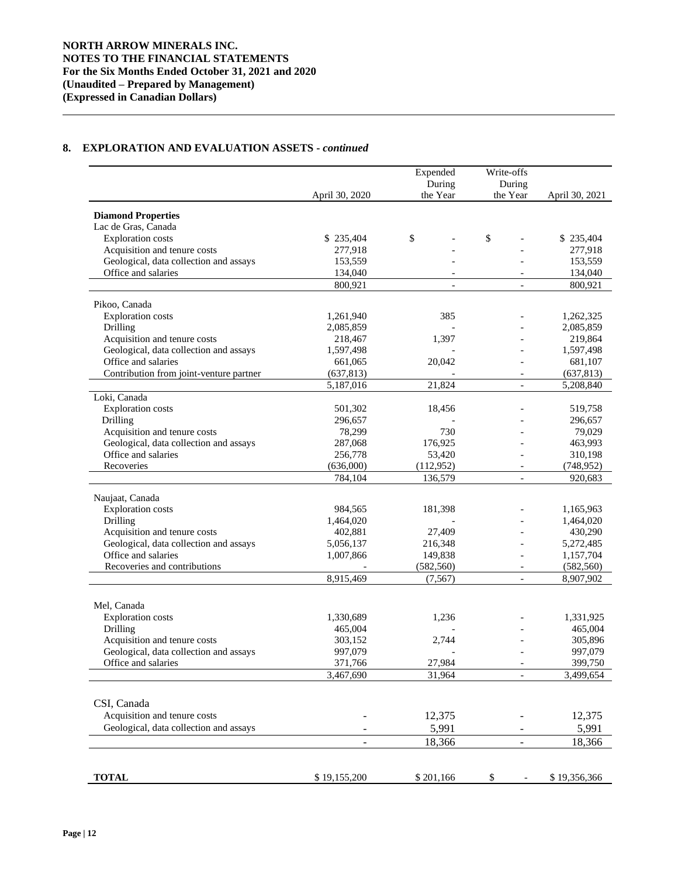## **8. EXPLORATION AND EVALUATION ASSETS -** *continued*

|                                         |                          | Expended<br>During       | Write-offs<br>During     |                |
|-----------------------------------------|--------------------------|--------------------------|--------------------------|----------------|
|                                         | April 30, 2020           | the Year                 | the Year                 | April 30, 2021 |
| <b>Diamond Properties</b>               |                          |                          |                          |                |
| Lac de Gras, Canada                     |                          |                          |                          |                |
| <b>Exploration</b> costs                | \$235,404                | \$                       | \$                       | \$235,404      |
| Acquisition and tenure costs            | 277,918                  |                          |                          | 277,918        |
| Geological, data collection and assays  | 153,559                  |                          |                          | 153,559        |
| Office and salaries                     | 134,040                  |                          |                          | 134,040        |
|                                         | 800,921                  | $\overline{\phantom{a}}$ | $\overline{\phantom{a}}$ | 800,921        |
| Pikoo, Canada                           |                          |                          |                          |                |
| <b>Exploration</b> costs                | 1,261,940                | 385                      |                          | 1,262,325      |
|                                         |                          |                          |                          |                |
| Drilling                                | 2,085,859                |                          |                          | 2,085,859      |
| Acquisition and tenure costs            | 218,467                  | 1,397                    |                          | 219,864        |
| Geological, data collection and assays  | 1,597,498                |                          |                          | 1,597,498      |
| Office and salaries                     | 661,065                  | 20,042                   |                          | 681,107        |
| Contribution from joint-venture partner | (637, 813)               |                          |                          | (637, 813)     |
|                                         | 5,187,016                | 21,824                   | $\overline{a}$           | 5,208,840      |
| Loki, Canada                            |                          |                          |                          |                |
| <b>Exploration</b> costs                | 501,302                  | 18,456                   |                          | 519,758        |
| Drilling                                | 296,657                  |                          |                          | 296,657        |
| Acquisition and tenure costs            | 78,299                   | 730                      |                          | 79,029         |
| Geological, data collection and assays  | 287,068                  | 176,925                  |                          | 463,993        |
| Office and salaries                     | 256,778                  | 53,420                   |                          | 310,198        |
| Recoveries                              | (636,000)                | (112,952)                |                          | (748, 952)     |
|                                         | 784,104                  | 136,579                  | $\overline{\phantom{a}}$ | 920,683        |
|                                         |                          |                          |                          |                |
| Naujaat, Canada                         |                          |                          |                          |                |
| <b>Exploration</b> costs                | 984,565                  | 181,398                  |                          | 1,165,963      |
| Drilling                                | 1,464,020                |                          |                          | 1,464,020      |
| Acquisition and tenure costs            | 402,881                  | 27,409                   |                          | 430,290        |
| Geological, data collection and assays  | 5,056,137                | 216,348                  |                          | 5,272,485      |
| Office and salaries                     | 1,007,866                | 149,838                  |                          | 1,157,704      |
| Recoveries and contributions            |                          | (582, 560)               | $\overline{\phantom{a}}$ | (582, 560)     |
|                                         | 8,915,469                | (7, 567)                 |                          | 8,907,902      |
|                                         |                          |                          |                          |                |
| Mel, Canada                             |                          |                          |                          |                |
| <b>Exploration</b> costs                | 1,330,689                | 1,236                    |                          | 1,331,925      |
| Drilling                                | 465,004                  |                          |                          | 465,004        |
| Acquisition and tenure costs            | 303,152                  | 2,744                    |                          | 305,896        |
| Geological, data collection and assays  | 997,079                  |                          |                          | 997,079        |
| Office and salaries                     | 371,766                  | 27,984                   | $\overline{\phantom{a}}$ | 399,750        |
|                                         | 3,467,690                | 31,964                   |                          | 3,499,654      |
|                                         |                          |                          |                          |                |
| CSI, Canada                             |                          |                          |                          |                |
| Acquisition and tenure costs            |                          | 12,375                   |                          | 12,375         |
| Geological, data collection and assays  |                          | 5,991                    |                          | 5,991          |
|                                         | $\overline{\phantom{0}}$ | 18,366                   | $\overline{\phantom{a}}$ | 18,366         |
|                                         |                          |                          |                          |                |
| <b>TOTAL</b>                            | \$19,155,200             | \$201,166                | \$                       | \$19,356,366   |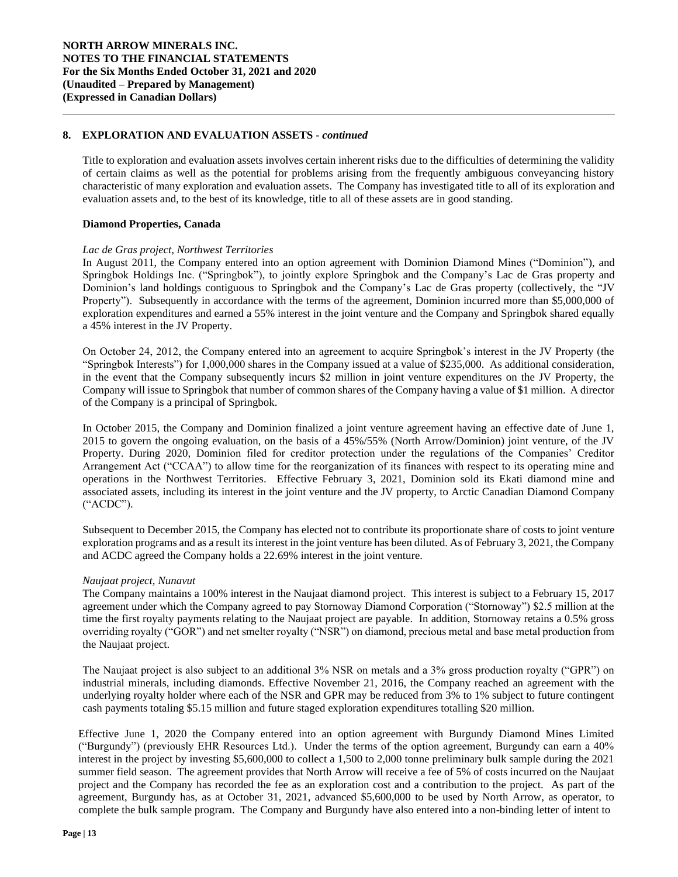## **8. EXPLORATION AND EVALUATION ASSETS -** *continued*

Title to exploration and evaluation assets involves certain inherent risks due to the difficulties of determining the validity of certain claims as well as the potential for problems arising from the frequently ambiguous conveyancing history characteristic of many exploration and evaluation assets. The Company has investigated title to all of its exploration and evaluation assets and, to the best of its knowledge, title to all of these assets are in good standing.

## **Diamond Properties, Canada**

### *Lac de Gras project, Northwest Territories*

In August 2011, the Company entered into an option agreement with Dominion Diamond Mines ("Dominion"), and Springbok Holdings Inc. ("Springbok"), to jointly explore Springbok and the Company's Lac de Gras property and Dominion's land holdings contiguous to Springbok and the Company's Lac de Gras property (collectively, the "JV Property"). Subsequently in accordance with the terms of the agreement, Dominion incurred more than \$5,000,000 of exploration expenditures and earned a 55% interest in the joint venture and the Company and Springbok shared equally a 45% interest in the JV Property.

On October 24, 2012, the Company entered into an agreement to acquire Springbok's interest in the JV Property (the "Springbok Interests") for 1,000,000 shares in the Company issued at a value of \$235,000. As additional consideration, in the event that the Company subsequently incurs \$2 million in joint venture expenditures on the JV Property, the Company will issue to Springbok that number of common shares of the Company having a value of \$1 million. A director of the Company is a principal of Springbok.

In October 2015, the Company and Dominion finalized a joint venture agreement having an effective date of June 1, 2015 to govern the ongoing evaluation, on the basis of a 45%/55% (North Arrow/Dominion) joint venture, of the JV Property. During 2020, Dominion filed for creditor protection under the regulations of the Companies' Creditor Arrangement Act ("CCAA") to allow time for the reorganization of its finances with respect to its operating mine and operations in the Northwest Territories. Effective February 3, 2021, Dominion sold its Ekati diamond mine and associated assets, including its interest in the joint venture and the JV property, to Arctic Canadian Diamond Company ("ACDC").

Subsequent to December 2015, the Company has elected not to contribute its proportionate share of costs to joint venture exploration programs and as a result its interest in the joint venture has been diluted. As of February 3, 2021, the Company and ACDC agreed the Company holds a 22.69% interest in the joint venture.

### *Naujaat project, Nunavut*

The Company maintains a 100% interest in the Naujaat diamond project. This interest is subject to a February 15, 2017 agreement under which the Company agreed to pay Stornoway Diamond Corporation ("Stornoway") \$2.5 million at the time the first royalty payments relating to the Naujaat project are payable. In addition, Stornoway retains a 0.5% gross overriding royalty ("GOR") and net smelter royalty ("NSR") on diamond, precious metal and base metal production from the Naujaat project.

The Naujaat project is also subject to an additional 3% NSR on metals and a 3% gross production royalty ("GPR") on industrial minerals, including diamonds. Effective November 21, 2016, the Company reached an agreement with the underlying royalty holder where each of the NSR and GPR may be reduced from 3% to 1% subject to future contingent cash payments totaling \$5.15 million and future staged exploration expenditures totalling \$20 million.

Effective June 1, 2020 the Company entered into an option agreement with Burgundy Diamond Mines Limited ("Burgundy") (previously EHR Resources Ltd.). Under the terms of the option agreement, Burgundy can earn a 40% interest in the project by investing \$5,600,000 to collect a 1,500 to 2,000 tonne preliminary bulk sample during the 2021 summer field season. The agreement provides that North Arrow will receive a fee of 5% of costs incurred on the Naujaat project and the Company has recorded the fee as an exploration cost and a contribution to the project. As part of the agreement, Burgundy has, as at October 31, 2021, advanced \$5,600,000 to be used by North Arrow, as operator, to complete the bulk sample program. The Company and Burgundy have also entered into a non-binding letter of intent to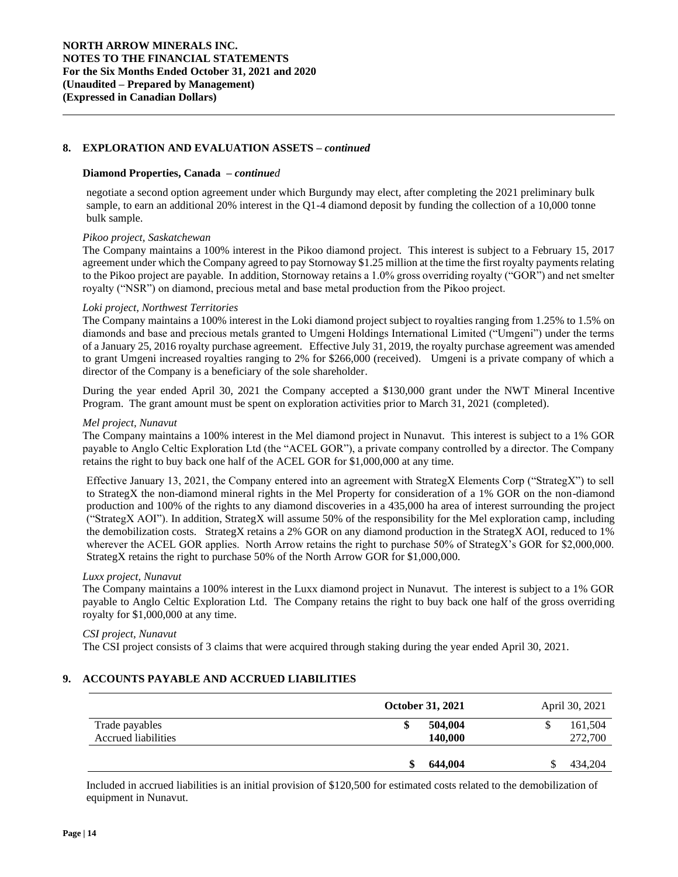## **8. EXPLORATION AND EVALUATION ASSETS –** *continued*

#### **Diamond Properties, Canada –** *continued*

negotiate a second option agreement under which Burgundy may elect, after completing the 2021 preliminary bulk sample, to earn an additional 20% interest in the Q1-4 diamond deposit by funding the collection of a 10,000 tonne bulk sample.

## *Pikoo project, Saskatchewan*

The Company maintains a 100% interest in the Pikoo diamond project. This interest is subject to a February 15, 2017 agreement under which the Company agreed to pay Stornoway \$1.25 million at the time the first royalty payments relating to the Pikoo project are payable. In addition, Stornoway retains a 1.0% gross overriding royalty ("GOR") and net smelter royalty ("NSR") on diamond, precious metal and base metal production from the Pikoo project.

### *Loki project, Northwest Territories*

The Company maintains a 100% interest in the Loki diamond project subject to royalties ranging from 1.25% to 1.5% on diamonds and base and precious metals granted to Umgeni Holdings International Limited ("Umgeni") under the terms of a January 25, 2016 royalty purchase agreement. Effective July 31, 2019, the royalty purchase agreement was amended to grant Umgeni increased royalties ranging to 2% for \$266,000 (received). Umgeni is a private company of which a director of the Company is a beneficiary of the sole shareholder.

During the year ended April 30, 2021 the Company accepted a \$130,000 grant under the NWT Mineral Incentive Program. The grant amount must be spent on exploration activities prior to March 31, 2021 (completed).

#### *Mel project, Nunavut*

The Company maintains a 100% interest in the Mel diamond project in Nunavut. This interest is subject to a 1% GOR payable to Anglo Celtic Exploration Ltd (the "ACEL GOR"), a private company controlled by a director. The Company retains the right to buy back one half of the ACEL GOR for \$1,000,000 at any time.

Effective January 13, 2021, the Company entered into an agreement with StrategX Elements Corp ("StrategX") to sell to StrategX the non-diamond mineral rights in the Mel Property for consideration of a 1% GOR on the non-diamond production and 100% of the rights to any diamond discoveries in a 435,000 ha area of interest surrounding the project ("StrategX AOI"). In addition, StrategX will assume 50% of the responsibility for the Mel exploration camp, including the demobilization costs. StrategX retains a 2% GOR on any diamond production in the StrategX AOI, reduced to 1% wherever the ACEL GOR applies. North Arrow retains the right to purchase 50% of StrategX's GOR for \$2,000,000. StrategX retains the right to purchase 50% of the North Arrow GOR for \$1,000,000.

### *Luxx project, Nunavut*

The Company maintains a 100% interest in the Luxx diamond project in Nunavut. The interest is subject to a 1% GOR payable to Anglo Celtic Exploration Ltd. The Company retains the right to buy back one half of the gross overriding royalty for \$1,000,000 at any time.

#### *CSI project, Nunavut*

The CSI project consists of 3 claims that were acquired through staking during the year ended April 30, 2021.

## **9. ACCOUNTS PAYABLE AND ACCRUED LIABILITIES**

|                                       |   | <b>October 31, 2021</b> | April 30, 2021     |
|---------------------------------------|---|-------------------------|--------------------|
| Trade payables<br>Accrued liabilities | J | 504,004<br>140,000      | 161,504<br>272,700 |
|                                       | S | 644,004                 | 434,204            |

Included in accrued liabilities is an initial provision of \$120,500 for estimated costs related to the demobilization of equipment in Nunavut.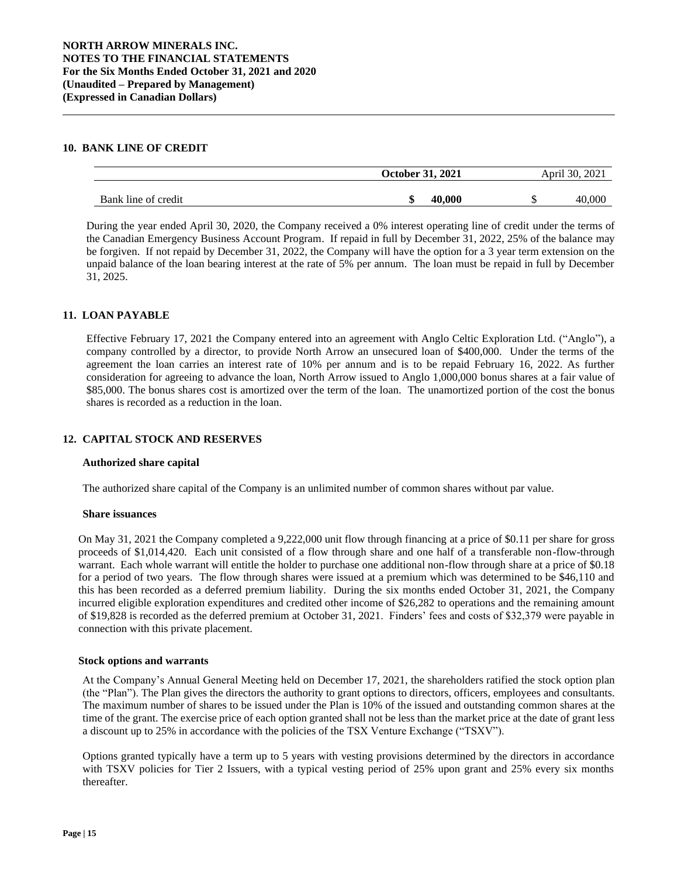## **10. BANK LINE OF CREDIT**

|                     | October 31, 2021 | 2021<br>April 30, |
|---------------------|------------------|-------------------|
| Bank line of credit | 40.000           | 40.00C            |

During the year ended April 30, 2020, the Company received a 0% interest operating line of credit under the terms of the Canadian Emergency Business Account Program. If repaid in full by December 31, 2022, 25% of the balance may be forgiven. If not repaid by December 31, 2022, the Company will have the option for a 3 year term extension on the unpaid balance of the loan bearing interest at the rate of 5% per annum. The loan must be repaid in full by December 31, 2025.

## **11. LOAN PAYABLE**

Effective February 17, 2021 the Company entered into an agreement with Anglo Celtic Exploration Ltd. ("Anglo"), a company controlled by a director, to provide North Arrow an unsecured loan of \$400,000. Under the terms of the agreement the loan carries an interest rate of 10% per annum and is to be repaid February 16, 2022. As further consideration for agreeing to advance the loan, North Arrow issued to Anglo 1,000,000 bonus shares at a fair value of \$85,000. The bonus shares cost is amortized over the term of the loan. The unamortized portion of the cost the bonus shares is recorded as a reduction in the loan.

## **12. CAPITAL STOCK AND RESERVES**

### **Authorized share capital**

The authorized share capital of the Company is an unlimited number of common shares without par value.

#### **Share issuances**

On May 31, 2021 the Company completed a 9,222,000 unit flow through financing at a price of \$0.11 per share for gross proceeds of \$1,014,420. Each unit consisted of a flow through share and one half of a transferable non-flow-through warrant. Each whole warrant will entitle the holder to purchase one additional non-flow through share at a price of \$0.18 for a period of two years. The flow through shares were issued at a premium which was determined to be \$46,110 and this has been recorded as a deferred premium liability. During the six months ended October 31, 2021, the Company incurred eligible exploration expenditures and credited other income of \$26,282 to operations and the remaining amount of \$19,828 is recorded as the deferred premium at October 31, 2021. Finders' fees and costs of \$32,379 were payable in connection with this private placement.

### **Stock options and warrants**

At the Company's Annual General Meeting held on December 17, 2021, the shareholders ratified the stock option plan (the "Plan"). The Plan gives the directors the authority to grant options to directors, officers, employees and consultants. The maximum number of shares to be issued under the Plan is 10% of the issued and outstanding common shares at the time of the grant. The exercise price of each option granted shall not be less than the market price at the date of grant less a discount up to 25% in accordance with the policies of the TSX Venture Exchange ("TSXV").

Options granted typically have a term up to 5 years with vesting provisions determined by the directors in accordance with TSXV policies for Tier 2 Issuers, with a typical vesting period of 25% upon grant and 25% every six months thereafter.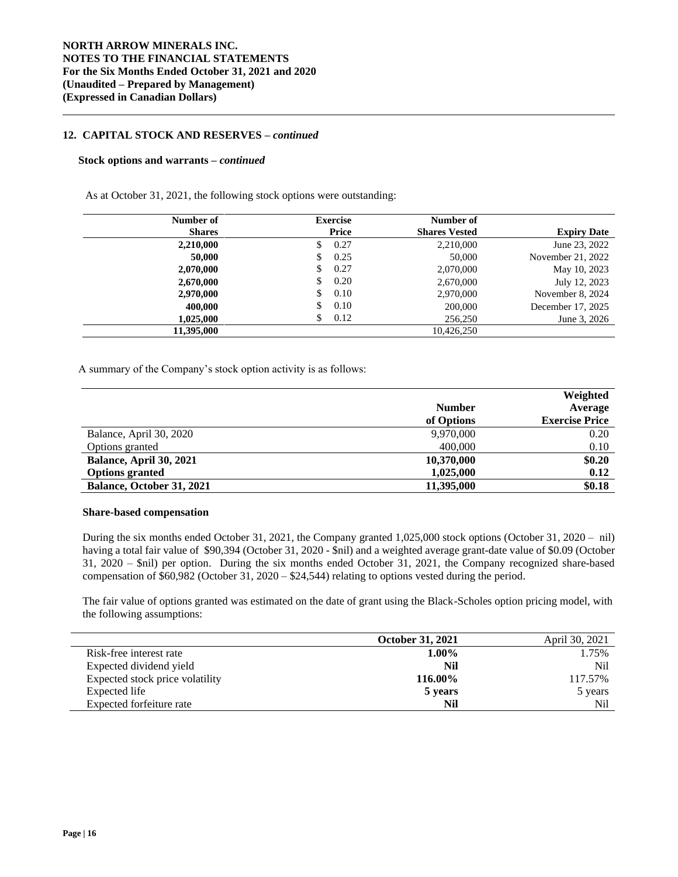## **12. CAPITAL STOCK AND RESERVES –** *continued*

#### **Stock options and warrants –** *continued*

As at October 31, 2021, the following stock options were outstanding:

| Number of     | <b>Exercise</b> | Number of            |                    |
|---------------|-----------------|----------------------|--------------------|
| <b>Shares</b> | Price           | <b>Shares Vested</b> | <b>Expiry Date</b> |
| 2,210,000     | 0.27<br>S       | 2,210,000            | June 23, 2022      |
| 50,000        | 0.25            | 50,000               | November 21, 2022  |
| 2,070,000     | 0.27<br>S       | 2,070,000            | May 10, 2023       |
| 2,670,000     | 0.20<br>\$      | 2,670,000            | July 12, 2023      |
| 2,970,000     | 0.10<br>S       | 2,970,000            | November 8, 2024   |
| 400,000       | 0.10<br>\$      | 200,000              | December 17, 2025  |
| 1.025.000     | 0.12<br>S       | 256,250              | June 3, 2026       |
| 11,395,000    |                 | 10,426,250           |                    |

A summary of the Company's stock option activity is as follows:

|                           |               | Weighted              |
|---------------------------|---------------|-----------------------|
|                           | <b>Number</b> | Average               |
|                           | of Options    | <b>Exercise Price</b> |
| Balance, April 30, 2020   | 9,970,000     | 0.20                  |
| Options granted           | 400,000       | 0.10                  |
| Balance, April 30, 2021   | 10,370,000    | \$0.20                |
| <b>Options granted</b>    | 1,025,000     | 0.12                  |
| Balance, October 31, 2021 | 11,395,000    | \$0.18                |

## **Share-based compensation**

During the six months ended October 31, 2021, the Company granted 1,025,000 stock options (October 31, 2020 – nil) having a total fair value of \$90,394 (October 31, 2020 - \$nil) and a weighted average grant-date value of \$0.09 (October 31, 2020 – \$nil) per option. During the six months ended October 31, 2021, the Company recognized share-based compensation of \$60,982 (October 31, 2020 – \$24,544) relating to options vested during the period.

The fair value of options granted was estimated on the date of grant using the Black-Scholes option pricing model, with the following assumptions:

|                                 | <b>October 31, 2021</b> | April 30, 2021  |
|---------------------------------|-------------------------|-----------------|
| Risk-free interest rate         | $1.00\%$                | 1.75%           |
| Expected dividend yield         | Nil                     | N <sub>il</sub> |
| Expected stock price volatility | 116.00%                 | 117.57%         |
| Expected life                   | 5 years                 | 5 years         |
| Expected forfeiture rate        | Nil                     | Nil             |

L.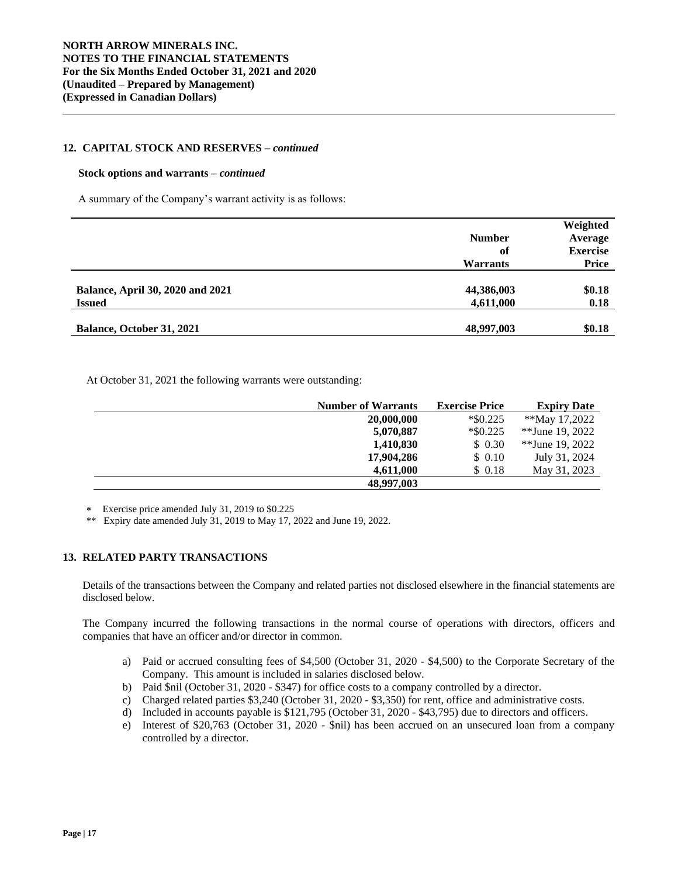### **12. CAPITAL STOCK AND RESERVES –** *continued*

#### **Stock options and warrants –** *continued*

A summary of the Company's warrant activity is as follows:

|                                         |                 | Weighted        |
|-----------------------------------------|-----------------|-----------------|
|                                         | <b>Number</b>   | Average         |
|                                         | of              | <b>Exercise</b> |
|                                         | <b>Warrants</b> | <b>Price</b>    |
|                                         |                 |                 |
| <b>Balance, April 30, 2020 and 2021</b> | 44,386,003      | \$0.18          |
| <b>Issued</b>                           | 4,611,000       | 0.18            |
|                                         |                 |                 |
| Balance, October 31, 2021               | 48,997,003      | \$0.18          |

At October 31, 2021 the following warrants were outstanding:

| <b>Number of Warrants</b> | <b>Exercise Price</b> | <b>Expiry Date</b> |
|---------------------------|-----------------------|--------------------|
| 20,000,000                | $*$ \$0.225           | **May 17,2022      |
| 5,070,887                 | $*$ \$0.225           | **June 19, 2022    |
| 1,410,830                 | \$0.30                | **June 19, 2022    |
| 17,904,286                | \$ 0.10               | July 31, 2024      |
| 4,611,000                 | \$ 0.18               | May 31, 2023       |
| 48,997,003                |                       |                    |

Exercise price amended July 31, 2019 to \$0.225

\*\* Expiry date amended July 31, 2019 to May 17, 2022 and June 19, 2022.

## **13. RELATED PARTY TRANSACTIONS**

Details of the transactions between the Company and related parties not disclosed elsewhere in the financial statements are disclosed below.

The Company incurred the following transactions in the normal course of operations with directors, officers and companies that have an officer and/or director in common.

- a) Paid or accrued consulting fees of \$4,500 (October 31, 2020 \$4,500) to the Corporate Secretary of the Company. This amount is included in salaries disclosed below.
- b) Paid \$nil (October 31, 2020 \$347) for office costs to a company controlled by a director.
- c) Charged related parties \$3,240 (October 31, 2020 \$3,350) for rent, office and administrative costs.
- d) Included in accounts payable is \$121,795 (October 31, 2020 \$43,795) due to directors and officers.
- e) Interest of \$20,763 (October 31, 2020 \$nil) has been accrued on an unsecured loan from a company controlled by a director.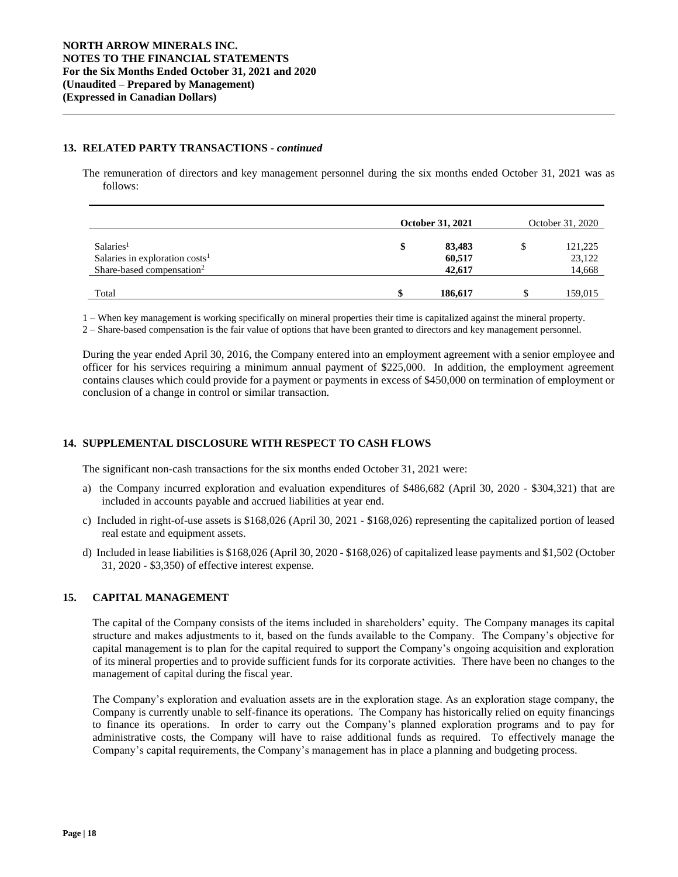### **13. RELATED PARTY TRANSACTIONS -** *continued*

The remuneration of directors and key management personnel during the six months ended October 31, 2021 was as follows:

|                                                                                                    | <b>October 31, 2021</b> |                            | October 31, 2020 |                             |
|----------------------------------------------------------------------------------------------------|-------------------------|----------------------------|------------------|-----------------------------|
| Salaries <sup>1</sup><br>Salaries in exploration $costs1$<br>Share-based compensation <sup>2</sup> | \$                      | 83,483<br>60,517<br>42,617 |                  | 121,225<br>23,122<br>14,668 |
| Total                                                                                              | ¢                       | 186,617                    |                  | 159,015                     |

1 – When key management is working specifically on mineral properties their time is capitalized against the mineral property.

2 – Share-based compensation is the fair value of options that have been granted to directors and key management personnel.

During the year ended April 30, 2016, the Company entered into an employment agreement with a senior employee and officer for his services requiring a minimum annual payment of \$225,000. In addition, the employment agreement contains clauses which could provide for a payment or payments in excess of \$450,000 on termination of employment or conclusion of a change in control or similar transaction.

## **14. SUPPLEMENTAL DISCLOSURE WITH RESPECT TO CASH FLOWS**

The significant non-cash transactions for the six months ended October 31, 2021 were:

- a) the Company incurred exploration and evaluation expenditures of \$486,682 (April 30, 2020 \$304,321) that are included in accounts payable and accrued liabilities at year end.
- c) Included in right-of-use assets is \$168,026 (April 30, 2021 \$168,026) representing the capitalized portion of leased real estate and equipment assets.
- d) Included in lease liabilities is \$168,026 (April 30, 2020 \$168,026) of capitalized lease payments and \$1,502 (October 31, 2020 - \$3,350) of effective interest expense.

## **15. CAPITAL MANAGEMENT**

The capital of the Company consists of the items included in shareholders' equity. The Company manages its capital structure and makes adjustments to it, based on the funds available to the Company. The Company's objective for capital management is to plan for the capital required to support the Company's ongoing acquisition and exploration of its mineral properties and to provide sufficient funds for its corporate activities. There have been no changes to the management of capital during the fiscal year.

The Company's exploration and evaluation assets are in the exploration stage. As an exploration stage company, the Company is currently unable to self-finance its operations. The Company has historically relied on equity financings to finance its operations. In order to carry out the Company's planned exploration programs and to pay for administrative costs, the Company will have to raise additional funds as required. To effectively manage the Company's capital requirements, the Company's management has in place a planning and budgeting process.